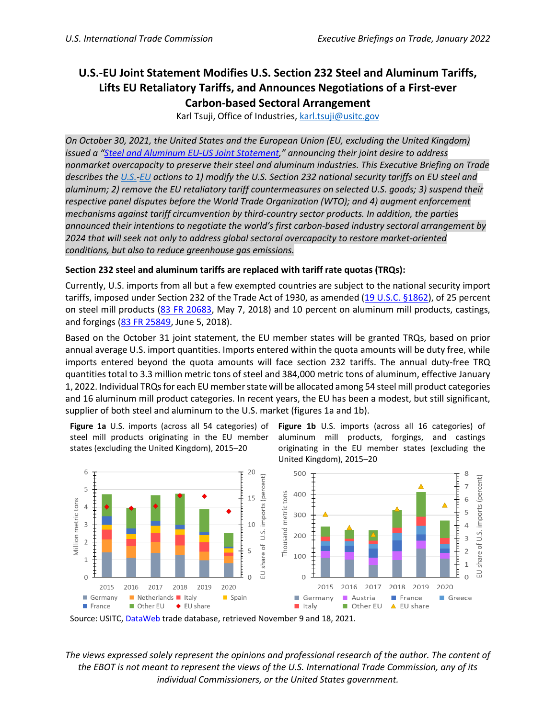# **U.S.-EU Joint Statement Modifies U.S. Section 232 Steel and Aluminum Tariffs, Lifts EU Retaliatory Tariffs, and Announces Negotiations of a First-ever Carbon-based Sectoral Arrangement**

Karl Tsuji, Office of Industries, [karl.tsuji@usitc.gov](mailto:karl.tsuji@usitc.gov)

*On October 30, 2021, the United States and the European Union (EU, excluding the United Kingdom) issued a ["Steel and Aluminum EU-US Joint Statement,](https://trade.ec.europa.eu/doclib/docs/2021/october/tradoc_159890.pdf?utm_source=POLITICO.EU&utm_campaign=249ff3fadc-EMAIL_CAMPAIGN_2021_11_01_04_55&utm_medium=email&utm_term=0_10959edeb5-249ff3fadc-189986013)" announcing their joint desire to address nonmarket overcapacity to preserve their steel and aluminum industries. This Executive Briefing on Trade describes the [U.S.-](https://ustr.gov/about-us/policy-offices/press-office/press-releases/2021/october/statements-ambassador-tai-and-secretary-raimondo-232-tariff-agreements)[EU](https://ec.europa.eu/commission/presscorner/detail/en/STATEMENT_21_5723) actions to 1) modify the U.S. Section 232 national security tariffs on EU steel and aluminum; 2) remove the EU retaliatory tariff countermeasures on selected U.S. goods; 3) suspend their respective panel disputes before the World Trade Organization (WTO); and 4) augment enforcement mechanisms against tariff circumvention by third-country sector products. In addition, the parties announced their intentions to negotiate the world's first carbon-based industry sectoral arrangement by 2024 that will seek not only to address global sectoral overcapacity to restore market-oriented conditions, but also to reduce greenhouse gas emissions.*

## **Section 232 steel and aluminum tariffs are replaced with tariff rate quotas (TRQs):**

Currently, U.S. imports from all but a few exempted countries are subject to the national security import tariffs, imposed under Section 232 of the Trade Act of 1930, as amended [\(19 U.S.C. §1862\)](https://www.govinfo.gov/content/pkg/USCODE-2015-title19/pdf/USCODE-2015-title19-chap7-subchapII-partIV-sec1862.pdf), of 25 percent on steel mill products [\(83 FR 20683,](https://www.govinfo.gov/content/pkg/FR-2018-05-07/pdf/2018-09841.pdf) May 7, 2018) and 10 percent on aluminum mill products, castings, and forgings [\(83 FR 25849,](https://www.govinfo.gov/content/pkg/FR-2018-06-05/pdf/2018-12137.pdf) June 5, 2018).

Based on the October 31 joint statement, the EU member states will be granted TRQs, based on prior annual average U.S. import quantities. Imports entered within the quota amounts will be duty free, while imports entered beyond the quota amounts will face section 232 tariffs. The annual duty-free TRQ quantities total to 3.3 million metric tons of steel and 384,000 metric tons of aluminum, effective January 1, 2022. Individual TRQs for each EU member state will be allocated among 54 steel mill product categories and 16 aluminum mill product categories. In recent years, the EU has been a modest, but still significant, supplier of both steel and aluminum to the U.S. market (figures 1a and 1b).

steel mill products originating in the EU member states (excluding the United Kingdom), 2015–20

Figure 1a U.S. imports (across all 54 categories) of Figure 1b U.S. imports (across all 16 categories) of aluminum mill products, forgings, and castings originating in the EU member states (excluding the United Kingdom), 2015–20





*The views expressed solely represent the opinions and professional research of the author. The content of the EBOT is not meant to represent the views of the U.S. International Trade Commission, any of its individual Commissioners, or the United States government.*